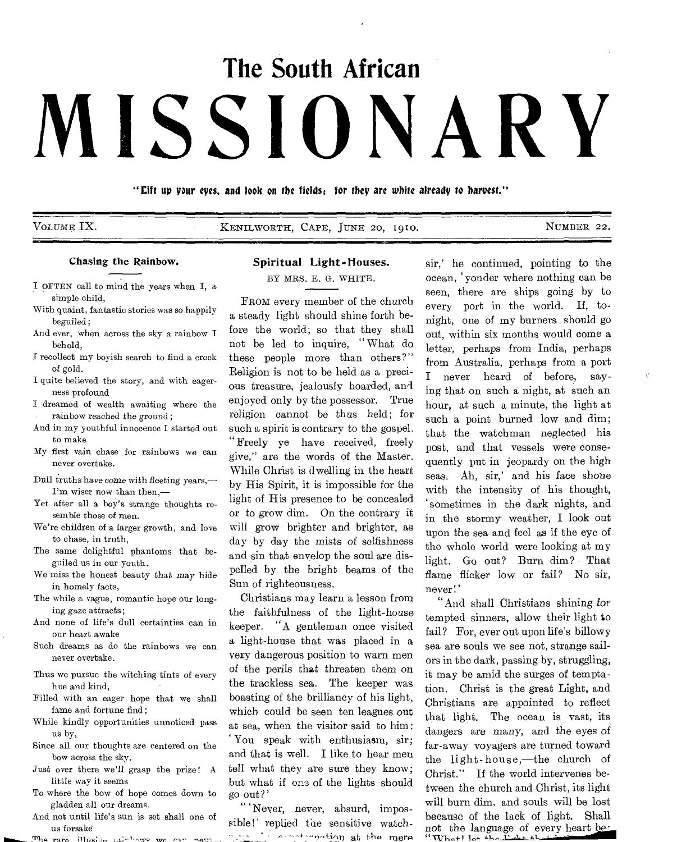# **The South African MISSIONARY**

"Oft uP your eyes, and look on *the* fields; for they *are white* already to harvest."

VOLUME IX. THE RESERVE CAPE, JUNE 20, 1910. NUMBER 22.

 $\vec{V}$ 

#### Chasing the Rainbow.

- I OFTEN call to mind the years when I, a simple child,
- With quaint, fantastic stories was so happily beguiled ;
- And ever, when across the sky a rainbow I behold,
- I recollect my boyish search to find a crock of gold.
- I quite believed the story, and with eagerness profound
- I dreamed of wealth awaiting where the rainbow reached the ground;
- And in my youthful innocence I started out to make
- My first vain chase for rainbows we can never overtake.
- Dull truths have come with fleeting years,— I'm wiser now than then,—
- Yet after all a boy's strange thoughts resemble those of men.
- We're children of a larger growth, and love to chase, in truth,
- The same delightful phantoms that beguiled us in our youth.
- We miss the honest beauty that may hide in homely facts,
- The while a vague, romantic hope our longing gaze attracts;
- And none of life's dull certainties can in our heart awake
- Such dreams as do the rainbows we can never overtake.
- Thus we pursue the witching tints of every hue and kind,
- Filled with an eager hope that we shall fame and fortune find;
- While kindly opportunities unnoticed pass us by,
- Since all our thoughts are centered on the bow across the sky.
- Just over there we'll grasp the prize ! A little way it seems
- To where the bow of hope comes down to gladden all our dreams.
- And not until life's sun is set shall one of us forsake
- The rare illusive without we can nave

# Spiritual Light-Houses.

BY MRS. E. G. WHITE.

FROM every member of the church a steady light should shine forth before the world; so that they shall not be led to inquire, "What do these people more than others?" Religion is not to be held as a precious treasure, jealously hoarded, and enjoyed only by the possessor. True religion cannot be thus held; for such a spirit is contrary to the gospel. "Freely ye have received, freely give," are the words of the Master. While Christ is dwelling in the heart by His Spirit, it is impossible for the light of His presence to be concealed or to grow dim. On the contrary it will grow brighter and brighter, as day by day the mists *of* selfishness and sin that envelop the soul are dispelled by the bright beams of the Sun of righteousness.

Christians may learn a lesson from the faithfulness of the light-house keeper. "A gentleman once visited a light-house that was placed in a very dangerous position to warn men of the perils that threaten them on the trackless sea. The keeper was boasting of the brilliancy of his light, which could be seen ten leagues out at sea, when the visitor said to him: You speak with enthusiasm, sir; and that is well. I like to hear men tell what they are sure they know; but what if one of the lights should go out?'

, Never, never, absurd, impossible!' replied the sensitive watch recovered to mere  $\sim$   $\sim$   $\sim$ 

sir,' he continued, pointing to the ocean, yonder where nothing can be seen, there are ships going by to every port in the world. If, tonight, one of my burners should go out, within six months would come a letter, perhaps from India, perhaps from Australia, perhaps from a port I never heard of before, saying that on such a night, at such an hour, at such a minute, the light at such a point burned low and dim; that the watchman neglected his post, and that vessels were consequently put in jeopardy on the high seas. Ah, sir,' and his face shone with the intensity of his thought, sometimes in the dark nights, and in the stormy weather, I look out upon the sea and feel as if the eye of the whole world were looking at my light. Go out? Burn dim? That flame flicker low or fail? No sir, never!'

"And shall Christians shining for tempted sinners, allow their light to fail? For, ever out upon life's billowy sea are souls we see not, strange sailors in the dark, passing by, struggling, it may be amid the surges of temptation. Christ is the great Light, and Christians are appointed to reflect that light. The ocean is vast, its dangers are many, and the eyes of far-away voyagers are turned toward the light-house,—the church of Christ." If the world intervenes between the church and Christ, its light will burn dim. and souls will be lost because of the lack of light. Shall not the language of every heart be: *" whe,f*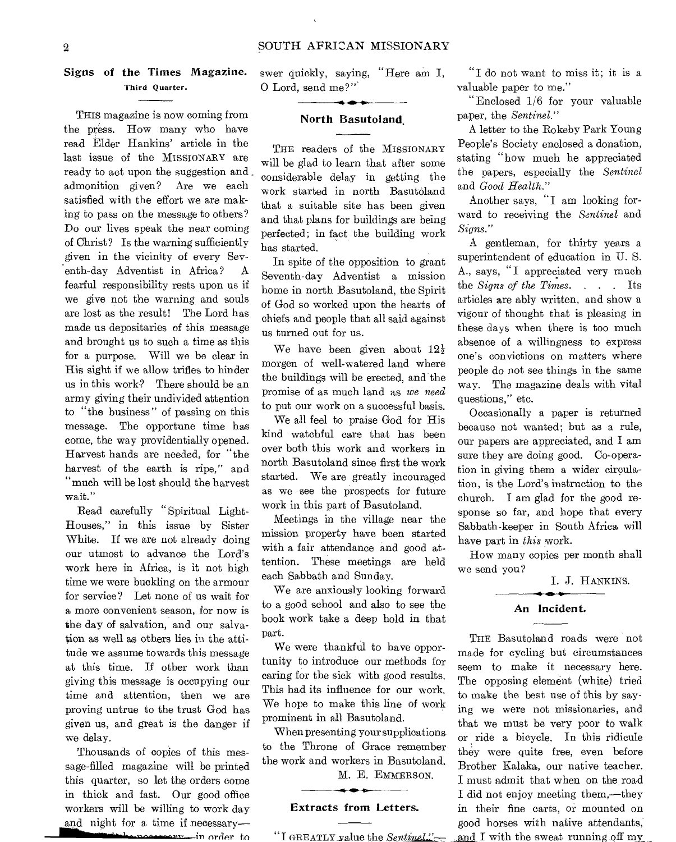# **Signs of the Times Magazine.**  Third Quarter.

THIS magazine is now coming from the press. How many who have read Elder Hankins' article in the last issue of the MISSIONARY are ready to act upon the suggestion and. admonition given? Are we each satisfied with the effort we are making to pass on the message to others? Do our lives speak the near coming of Christ? Is the warning sufficiently given in the vicinity of every Seventh-day Adventist in Africa? A fearful responsibility rests upon us if we give not the warning and souls are lost as the result! The Lord has made us depositaries of this message and brought us to such a time as this for a purpose. Will we be clear in His sight if we allow trifles to hinder us in this work? There should be an army giving their undivided attention to "the business" of passing on this message. The opportune time has come, the way providentially opened. Harvest hands are needed, for "the harvest of the earth is ripe," and "much will be lost should the harvest wait."

Read carefully " Spiritual Light-Houses," in this issue by Sister White. If we are not already doing our utmost to advance the Lord's work here in Africa, is it not high time we were buckling on the armour for service? Let none of us wait for a more convenient season, for now is the day of salvation, and our salvation as well as others lies in the attitude we assume towards this message at this time. If other work than giving this message is occupying our time and attention, then we are proving untrue to the trust God has given us, and great is the danger if we delay.

Thousands of copies of this message-filled magazine will be printed this quarter, so let the orders come in thick and fast. Our good office workers will be willing to work day and night for a time if necessary—

**in the substance of the second contract of the second contract of the second contract of the second contract of** 

swer quickly, saying, "Here am I, 0 Lord, send me?"'

#### **North Basutoland,**

THE readers of the MISSIONARY will be glad to learn that after some considerable delay in getting the work started in north Basutoland that a suitable site has been given and that plans for buildings are being perfected; in fact the building work has started.

In spite of the opposition to grant Seventh-day Adventist a mission home in north Basutoland, the Spirit of God so worked upon the hearts of chiefs and people that all said against us turned out for us.

We have been given about  $12\frac{1}{2}$ morgen of well-watered land where the buildings will be erected, and the promise of as much land as *we need*  to put our work on a successful basis.

We all feel to praise God for His kind watchful care that has been over both this work and workers in north Basutoland since first the work started. We are greatly incouraged as we see the prospects for future work in this part of Basutoland.

Meetings in the village near the mission property have been started with a fair attendance and good attention. These meetings are held each Sabbath and Sunday.

We are anxiously looking forward to a good school and also to see the book work take a deep hold in that part.

We were thankful to have opportunity to introduce our methods for caring for the sick with good results. This had its influence for our work. We hope to make this line of work prominent in all Basutoland.

When presenting your supplications to the Throne of Grace remember the work and workers in Basutoland.

M. E. EMMERSON.

## **Extracts from Letters.**

"I GREATLY value the *Sentinel"* 

"I do not want to miss it; it is a valuable paper to me."

"Enclosed 1/6 for your valuable paper, the *Sentinel."* 

A letter to the Rokeby Park Young People's Society enclosed a donation, stating "how much he appreciated the papers, especially the *Sentinel*  and *Good Health."* 

Another says, "I am looking forward to receiving the *Sentinel* and *Signs."* 

A gentleman, for thirty years a superintendent of education in U. S. A., says, "I appreciated very much the *Signs of the Times. . . .* Its articles are ably written, and show a vigour of thought that is pleasing in these days when there is too much absence of a willingness to express one's convictions on matters where people do not see things in the same way. The magazine deals with vital questions," etc.

Occasionally a paper is returned because not wanted; but as a rule, our papers are appreciated, and I am sure they are doing good. Co-operation in giving them a wider circulation, is the Lord's instruction to the church. I am glad for the good response so far, and hope that every Sabbath-keeper in South Africa will have part in *this* work.

How many copies per month shall we send you?

I. **J.** HANKINS.

#### **An Incident.**

THE Basutoland roads were not made for cycling but circumstances seem to make it necessary here. The opposing element (white) tried to make the best use of this by saying we were not missionaries, and that we must be very poor to walk or ride a bicycle. In this ridicule they were quite free, even before Brother Kalaka, our native teacher. good horses with native attendants, RSON. I must admit that when on the road I did not enjoy meeting them,—they in their fine carts, or mounted on

and I with the sweat running off my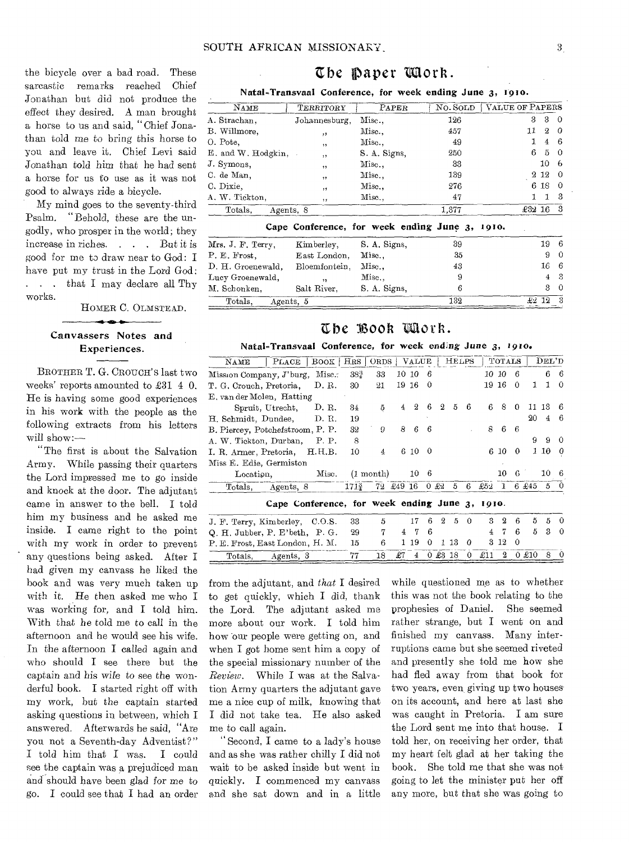the bicycle over a bad road. These sarcastic remarks reached Chief Jonathan but did not produce the effect they desired. A man brought a horse to us and said, "Chief Jonathan told me to bring this horse to you and leave it, Chief Levi said Jonathan told him that he had sent a horse for us to use as it was not

My mind goes to the seventy-third Psalm. "Behold, these are the ungodly, who prosper in the world; they increase in riches. . . . But it is good for me to draw near to God: I have put my trust in the Lord God: . . that I may declare all Thy works.

good to always ride a bicycle.

HOMER C. OLMSTEAD.

# Canvassers Notes and Experiences.

BROTHER T. G. CROUCH'S last two weeks' reports amounted to  $\pounds 31$  4 0. He is having some good experiences in his work with the people as the following extracts from his letters will show:—

"The first is about the Salvation Army. While passing their quarters the Lord impressed me to go inside and knock at the door. The adjutant came in answer to the bell. I told him my business and he asked me inside. I came right to the point with my work in order to prevent any questions being asked. After I had given my canvass he liked the hook and was very much taken up with it. He then asked me who I was working for, and I told him. With that he told me to call in the afternoon and he would see his wife. In the afternoon I called again and who should I see there but the captain and his wife to see the wonderful book. I started right off with my work, but the captain started asking questions in between, which I answered. Afterwards he said, "Are you not a Seventh-day Adventist?" I told him that I was. I could see the captain was a prejudiced man and should have been glad for me to go. I could see that I had an order

# Ebe Daper Work.

Natal-Transvaal Conference, for week ending June 3, 1910.

| NAME                 | TERRITORY     | $\rm PAPER$                                    | No. SOLD | <b>VALUE OF PAPERS</b> |                  |          |
|----------------------|---------------|------------------------------------------------|----------|------------------------|------------------|----------|
| A. Strachan,         | Johannesburg. | Mise                                           | 126      | з                      | 3                | $\Omega$ |
| B. Willmore,         | ,,            | Misc.,                                         | 457      | 11                     | $\boldsymbol{2}$ | -0       |
| O. Pote,             | , ,           | Misc.,                                         | 49       |                        | 4                | 6        |
| E. and W. Hodgkin,   | , ,           | S. A. Signs,                                   | 250      | 6                      | 5                | $\Omega$ |
| J. Symons,           | , ,           | Misc.                                          | 33       |                        | 10               | 6        |
| C. de Man.           | ,,            | Misc                                           | 139      |                        | $2\;12$          | 0        |
| C. Dixie.            | , ,           | Misc                                           | 276      |                        | 6 18             | 0        |
| A. W. Tickton.       | , ,           | Misc.,                                         | 47       |                        | 1                | 3        |
| Totals.<br>Agents, 8 |               |                                                | 1,377    | £32 16                 |                  | 3        |
|                      |               | Cape Conference, for week ending June 3, 1910. |          |                        |                  |          |
| Mrs. J. F. Terry,    | Kimberley,    | S. A. Signs,                                   | 39       |                        | 19               | 6        |
| P. E. Frost.         | East London,  | $_{\mathrm{Misc.}.}$                           | 35       |                        | 9                | $\Omega$ |
| D. H. Groenewald.    | Bloemfontein, | $Misc.$ .                                      | 43       |                        | 16               | 6        |
| Lucy Groenewald,     | $, \,$        | Misc.,                                         | 9        |                        | 4                | 3        |
| M. Schonken          | Salt River    | S A Sions                                      | 6        |                        | З                | 0        |

# The Book Work.

Totals, Agents,  $5 \overline{332} \overline{233}$ 

M. Schonken, Salt River, S. A. Signs, 6

### Natal-Transvaal Conference, for week ending June 3, 1910.

| BOOK   HRS   ORDS<br>$\rm{PLACE}$<br>NAME      |                   |        |                     |           | <b>VALUE</b>   |        |    | <b>HELPS</b> |               |          | TOTALS |          |          | $\rm{DEL}$ 'D |          |          |
|------------------------------------------------|-------------------|--------|---------------------|-----------|----------------|--------|----|--------------|---------------|----------|--------|----------|----------|---------------|----------|----------|
| Mission Company, J'burg,                       |                   | Misc.  | $38_{4}^{3}$        | 33        |                | 10 10  | -6 |              |               |          |        | 10-10    | 6        |               |          | 66       |
| T. G. Crouch, Pretoria,<br>D. R.               |                   | 30     | 21                  |           | 19 16          | -0     |    |              |               |          | 19 16  | 0        | 1        | 1             | $\Omega$ |          |
| E, van der Molen, Hatting                      |                   |        |                     |           |                |        |    |              |               |          |        |          |          |               |          |          |
|                                                | Spruit, Utrecht,  | D.R.   | 34                  | 5         | $\overline{4}$ | $^{2}$ | 6  | $^{2}$       | 5             | 6        | 6      | -8       | $\Omega$ |               | 11 13    | 6        |
| H. Schmidt, Dundee,<br>D. R.                   |                   |        | 19                  |           |                |        |    |              |               |          |        |          |          | 20            | 4        | -6       |
| B. Piercey, Potchefstroom, P. P.               |                   |        | 32                  | 9         | 8              | 6      | -6 |              |               |          | 8.     | 6        | - 6      |               |          |          |
| A. W. Tickton, Durban,<br>P. P.                |                   |        | 8                   |           |                |        |    |              |               |          |        |          |          | 9             | $\Omega$ | $\Omega$ |
| I. R. Armer, Pretoria,<br>H.H.B.               |                   |        | 10                  | 4         |                | 6 10 0 |    |              |               |          |        | 6 10     | 0        |               | 1 10     | 0        |
| Miss E. Edie, Germiston                        |                   |        |                     |           |                |        |    |              |               |          |        |          |          |               |          |          |
| Misc.<br>Location.                             |                   |        | $(1 \text{ month})$ |           | 10             | 6      |    |              |               |          | 10.    | 6        |          | 10.           | в        |          |
|                                                | Totals, Agents, 8 |        | 171≩                | 72 £49 16 |                |        |    | 0.22         | 5             | 6        | £52    |          |          | $1 \t6 \t645$ | 5        |          |
| Cape Conference, for week ending June 3, 1910. |                   |        |                     |           |                |        |    |              |               |          |        |          |          |               |          |          |
| J. F. Terry, Kimberley,                        |                   | 0.0.S. | 33                  | 5         |                | 17     | 6  | 2            | $\frac{5}{2}$ | $\Omega$ | я      | $\Omega$ | 6        | 5             | 5.       | $\Omega$ |
| Q. H. Jubber, P. E'beth, P. G.                 |                   |        | 29                  | 7         | 4              | 7      | 6  |              |               |          | 4      | 7        | 6        | 5             | 3        | $\Omega$ |
| P. E. Frost, East London, H. M.                |                   |        | 15                  | 6         |                | 19     | 0  |              | 1 13          | 0        | я      | 12       | $\Omega$ |               |          |          |
|                                                | Totals, Agents, 3 |        | 77                  | 18        | £7             | 4      |    |              | 0.2318        | $\theta$ | £11    | $\Omega$ |          | 0.210         | 8.       | $\Omega$ |

from the adjutant, and *that* I desired to get quickly, which I did, thank the Lord. The adjutant asked me more about our work. I told him how our people were getting on, and when I got home sent him a copy of the special missionary number of the *Review.* While I was at the Salvation Army quarters the adjutant gave me a nice cup of milk, knowing that I did not take tea. He also asked me to call again.

" Second, I came to a lady's house and as she was rather chilly I did not wait to be asked inside but went in quickly. I commenced my canvass and she sat down and in a little

while questioned me as to whether this was not the book relating to the prophesies of Daniel. She seemed rather strange, but I went on and finished my canvass. Many interruptions came but she seemed riveted and presently she told me how she had fled away from that book for two years, even giving up two houses on its account, and here at last she was caught in Pretoria. I am sure the Lord sent me into that house. I told her, on receiving her order, that my heart felt glad at her taking the book. She told me that she was not going to let the minister put her off any more, but that she was going to